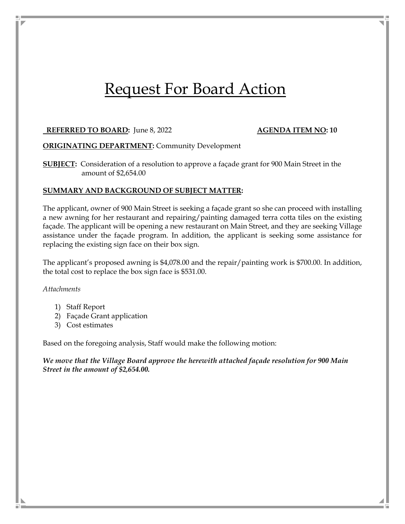# Request For Board Action

### **REFERRED TO BOARD:** June 8, 2022 **AGENDA ITEM NO: 10**

**ORIGINATING DEPARTMENT:** Community Development

**SUBJECT:** Consideration of a resolution to approve a façade grant for 900 Main Street in the amount of \$2,654.00

#### **SUMMARY AND BACKGROUND OF SUBJECT MATTER:**

The applicant, owner of 900 Main Street is seeking a façade grant so she can proceed with installing a new awning for her restaurant and repairing/painting damaged terra cotta tiles on the existing façade. The applicant will be opening a new restaurant on Main Street, and they are seeking Village assistance under the façade program. In addition, the applicant is seeking some assistance for replacing the existing sign face on their box sign.

The applicant's proposed awning is \$4,078.00 and the repair/painting work is \$700.00. In addition, the total cost to replace the box sign face is \$531.00.

#### *Attachments*

- 1) Staff Report
- 2) Façade Grant application
- 3) Cost estimates

Based on the foregoing analysis, Staff would make the following motion:

*We move that the Village Board approve the herewith attached façade resolution for 900 Main Street in the amount of \$2,654.00.*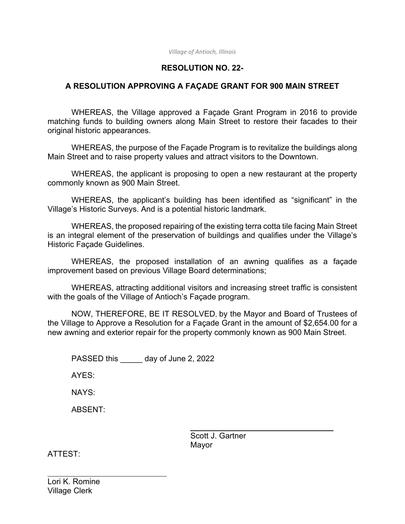*Village of Antioch, Illinois* 

# **RESOLUTION NO. 22-**

## **A RESOLUTION APPROVING A FAÇADE GRANT FOR 900 MAIN STREET**

 WHEREAS, the Village approved a Façade Grant Program in 2016 to provide matching funds to building owners along Main Street to restore their facades to their original historic appearances.

 WHEREAS, the purpose of the Façade Program is to revitalize the buildings along Main Street and to raise property values and attract visitors to the Downtown.

WHEREAS, the applicant is proposing to open a new restaurant at the property commonly known as 900 Main Street.

 WHEREAS, the applicant's building has been identified as "significant" in the Village's Historic Surveys. And is a potential historic landmark.

 WHEREAS, the proposed repairing of the existing terra cotta tile facing Main Street is an integral element of the preservation of buildings and qualifies under the Village's Historic Façade Guidelines.

WHEREAS, the proposed installation of an awning qualifies as a façade improvement based on previous Village Board determinations;

 WHEREAS, attracting additional visitors and increasing street traffic is consistent with the goals of the Village of Antioch's Façade program.

NOW, THEREFORE, BE IT RESOLVED, by the Mayor and Board of Trustees of the Village to Approve a Resolution for a Façade Grant in the amount of \$2,654.00 for a new awning and exterior repair for the property commonly known as 900 Main Street.

PASSED this day of June 2, 2022

AYES:

NAYS:

ABSENT:

 Scott J. Gartner Mayor

ATTEST:

 $\overline{a}$ 

Lori K. Romine Village Clerk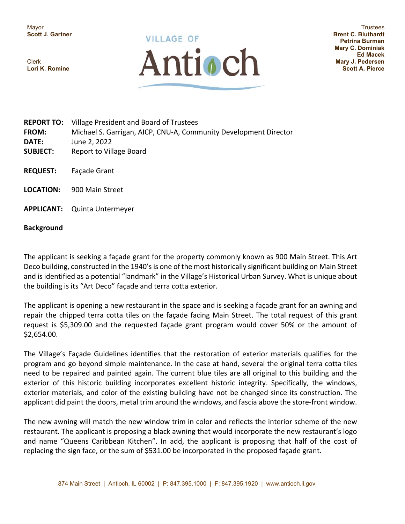Mayor **Scott J. Gartner** 

Clerk **Lori K. Romine** 



**Trustees Brent C. Bluthardt Petrina Burman Mary C. Dominiak Ed Macek Mary J. Pedersen Scott A. Pierce** 

- **REPORT TO:**  Village President and Board of Trustees **FROM:**  Michael S. Garrigan, AICP, CNU‐A, Community Development Director **DATE:**  June 2, 2022 **SUBJECT:**  Report to Village Board **REQUEST:** Façade Grant
- LOCATION: 900 Main Street
- **APPLICANT:** Quinta Untermeyer

#### **Background**

The applicant is seeking a façade grant for the property commonly known as 900 Main Street. This Art Deco building, constructed in the 1940's is one of the most historically significant building on Main Street and is identified as a potential "landmark" in the Village's Historical Urban Survey. What is unique about the building is its "Art Deco" façade and terra cotta exterior.

The applicant is opening a new restaurant in the space and is seeking a façade grant for an awning and repair the chipped terra cotta tiles on the façade facing Main Street. The total request of this grant request is \$5,309.00 and the requested façade grant program would cover 50% or the amount of \$2,654.00.

The Village's Façade Guidelines identifies that the restoration of exterior materials qualifies for the program and go beyond simple maintenance. In the case at hand, several the original terra cotta tiles need to be repaired and painted again. The current blue tiles are all original to this building and the exterior of this historic building incorporates excellent historic integrity. Specifically, the windows, exterior materials, and color of the existing building have not be changed since its construction. The applicant did paint the doors, metal trim around the windows, and fascia above the store‐front window.

The new awning will match the new window trim in color and reflects the interior scheme of the new restaurant. The applicant is proposing a black awning that would incorporate the new restaurant's logo and name "Queens Caribbean Kitchen". In add, the applicant is proposing that half of the cost of replacing the sign face, or the sum of \$531.00 be incorporated in the proposed façade grant.